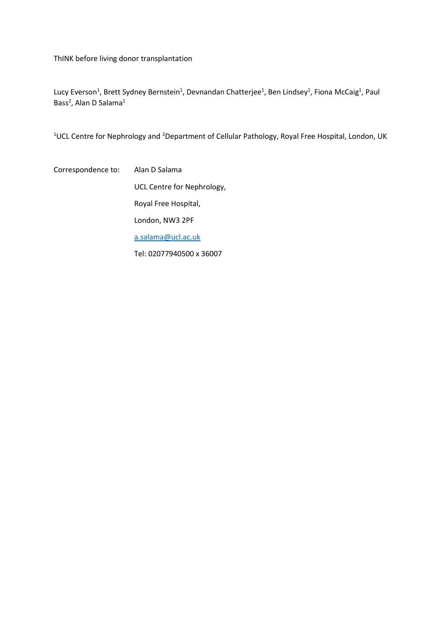ThINK before living donor transplantation

Lucy Everson<sup>1</sup>, Brett Sydney Bernstein<sup>1</sup>, Devnandan Chatterjee<sup>1</sup>, Ben Lindsey<sup>1</sup>, Fiona McCaig<sup>1</sup>, Paul Bass<sup>2</sup>, Alan D Salama<sup>1</sup>

<sup>1</sup>UCL Centre for Nephrology and <sup>2</sup>Department of Cellular Pathology, Royal Free Hospital, London, UK

Correspondence to: Alan D Salama UCL Centre for Nephrology, Royal Free Hospital, London, NW3 2PF [a.salama@ucl.ac.uk](mailto:a.salama@ucl.ac.uk)

Tel: 02077940500 x 36007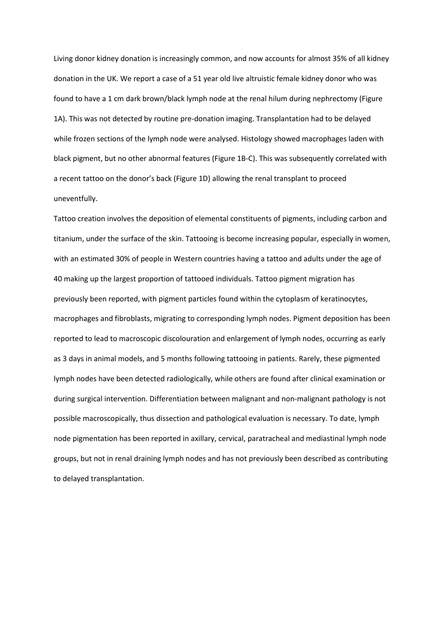Living donor kidney donation is increasingly common, and now accounts for almost 35% of all kidney donation in the UK. We report a case of a 51 year old live altruistic female kidney donor who was found to have a 1 cm dark brown/black lymph node at the renal hilum during nephrectomy (Figure 1A). This was not detected by routine pre-donation imaging. Transplantation had to be delayed while frozen sections of the lymph node were analysed. Histology showed macrophages laden with black pigment, but no other abnormal features (Figure 1B-C). This was subsequently correlated with a recent tattoo on the donor's back (Figure 1D) allowing the renal transplant to proceed uneventfully.

Tattoo creation involves the deposition of elemental constituents of pigments, including carbon and titanium, under the surface of the skin. Tattooing is become increasing popular, especially in women, with an estimated 30% of people in Western countries having a tattoo and adults under the age of 40 making up the largest proportion of tattooed individuals. Tattoo pigment migration has previously been reported, with pigment particles found within the cytoplasm of keratinocytes, macrophages and fibroblasts, migrating to corresponding lymph nodes. Pigment deposition has been reported to lead to macroscopic discolouration and enlargement of lymph nodes, occurring as early as 3 days in animal models, and 5 months following tattooing in patients. Rarely, these pigmented lymph nodes have been detected radiologically, while others are found after clinical examination or during surgical intervention. Differentiation between malignant and non-malignant pathology is not possible macroscopically, thus dissection and pathological evaluation is necessary. To date, lymph node pigmentation has been reported in axillary, cervical, paratracheal and mediastinal lymph node groups, but not in renal draining lymph nodes and has not previously been described as contributing to delayed transplantation.